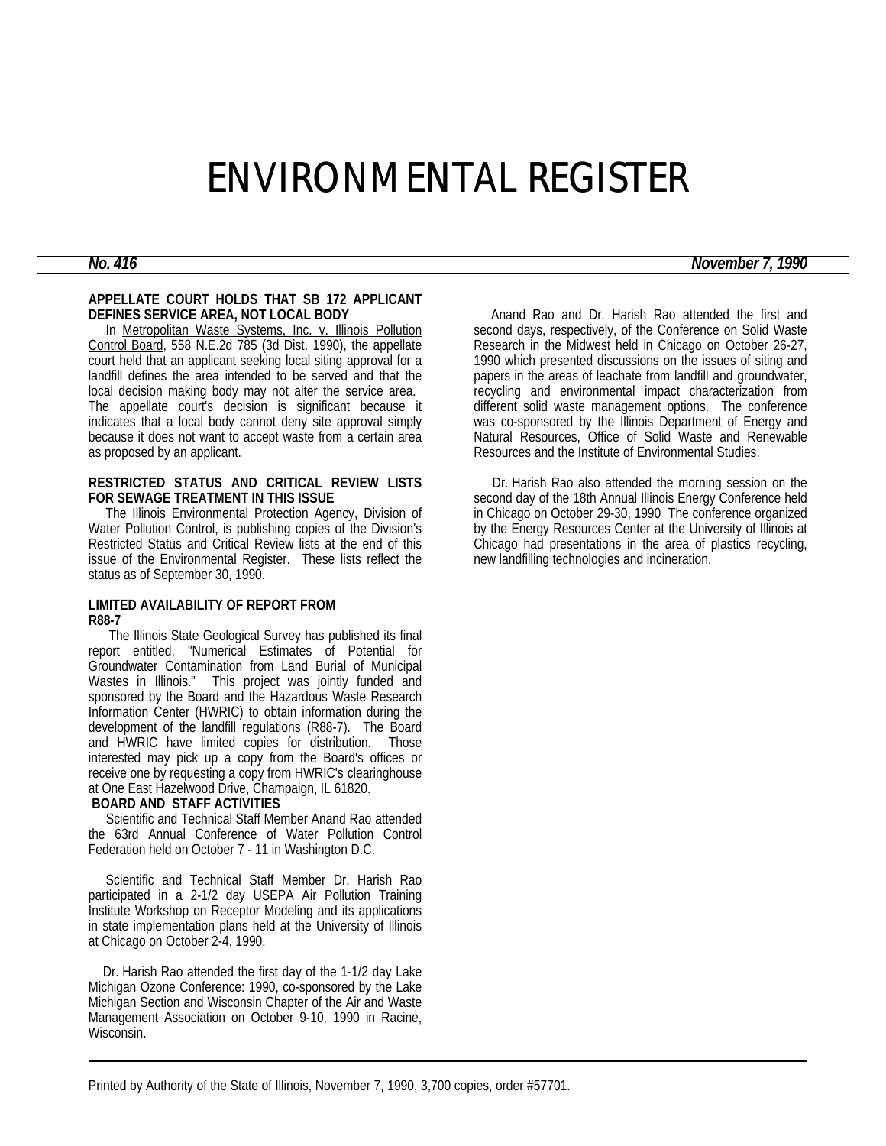# ENVIRONMENTAL REGISTER

## **APPELLATE COURT HOLDS THAT SB 172 APPLICANT DEFINES SERVICE AREA, NOT LOCAL BODY**

 In Metropolitan Waste Systems, Inc. v. Illinois Pollution Control Board, 558 N.E.2d 785 (3d Dist. 1990), the appellate court held that an applicant seeking local siting approval for a landfill defines the area intended to be served and that the local decision making body may not alter the service area. The appellate court's decision is significant because it indicates that a local body cannot deny site approval simply because it does not want to accept waste from a certain area as proposed by an applicant.

### **RESTRICTED STATUS AND CRITICAL REVIEW LISTS FOR SEWAGE TREATMENT IN THIS ISSUE**

 The Illinois Environmental Protection Agency, Division of Water Pollution Control, is publishing copies of the Division's Restricted Status and Critical Review lists at the end of this issue of the Environmental Register. These lists reflect the status as of September 30, 1990.

# **LIMITED AVAILABILITY OF REPORT FROM R88-7**

 The Illinois State Geological Survey has published its final report entitled, "Numerical Estimates of Potential for Groundwater Contamination from Land Burial of Municipal Wastes in Illinois." This project was jointly funded and sponsored by the Board and the Hazardous Waste Research Information Center (HWRIC) to obtain information during the development of the landfill regulations (R88-7). The Board and HWRIC have limited copies for distribution. Those interested may pick up a copy from the Board's offices or receive one by requesting a copy from HWRIC's clearinghouse at One East Hazelwood Drive, Champaign, IL 61820.

# **BOARD AND STAFF ACTIVITIES**

 Scientific and Technical Staff Member Anand Rao attended the 63rd Annual Conference of Water Pollution Control Federation held on October 7 - 11 in Washington D.C.

 Scientific and Technical Staff Member Dr. Harish Rao participated in a 2-1/2 day USEPA Air Pollution Training Institute Workshop on Receptor Modeling and its applications in state implementation plans held at the University of Illinois at Chicago on October 2-4, 1990.

 Dr. Harish Rao attended the first day of the 1-1/2 day Lake Michigan Ozone Conference: 1990, co-sponsored by the Lake Michigan Section and Wisconsin Chapter of the Air and Waste Management Association on October 9-10, 1990 in Racine, Wisconsin.

 Anand Rao and Dr. Harish Rao attended the first and second days, respectively, of the Conference on Solid Waste Research in the Midwest held in Chicago on October 26-27, 1990 which presented discussions on the issues of siting and papers in the areas of leachate from landfill and groundwater, recycling and environmental impact characterization from different solid waste management options. The conference was co-sponsored by the Illinois Department of Energy and Natural Resources, Office of Solid Waste and Renewable Resources and the Institute of Environmental Studies.

 Dr. Harish Rao also attended the morning session on the second day of the 18th Annual Illinois Energy Conference held in Chicago on October 29-30, 1990 The conference organized by the Energy Resources Center at the University of Illinois at Chicago had presentations in the area of plastics recycling, new landfilling technologies and incineration.

*No. 416 November 7, 1990*

Printed by Authority of the State of Illinois, November 7, 1990, 3,700 copies, order #57701.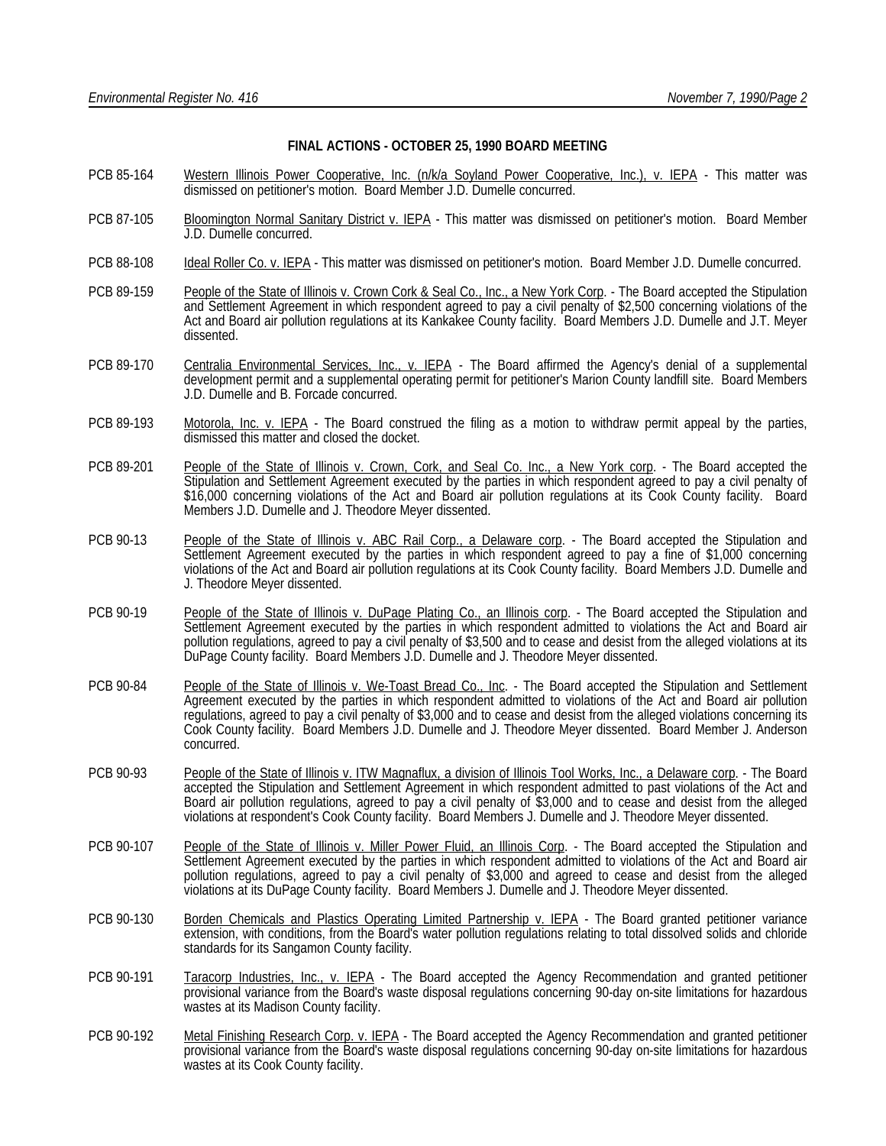#### **FINAL ACTIONS - OCTOBER 25, 1990 BOARD MEETING**

- PCB 85-164 Western Illinois Power Cooperative, Inc. (n/k/a Soyland Power Cooperative, Inc.), v. IEPA This matter was dismissed on petitioner's motion. Board Member J.D. Dumelle concurred.
- PCB 87-105 Bloomington Normal Sanitary District v. IEPA This matter was dismissed on petitioner's motion. Board Member J.D. Dumelle concurred.
- PCB 88-108 Ideal Roller Co. v. IEPA This matter was dismissed on petitioner's motion. Board Member J.D. Dumelle concurred.
- PCB 89-159 People of the State of Illinois v. Crown Cork & Seal Co., Inc., a New York Corp. The Board accepted the Stipulation and Settlement Agreement in which respondent agreed to pay a civil penalty of \$2,500 concerning violations of the Act and Board air pollution regulations at its Kankakee County facility. Board Members J.D. Dumelle and J.T. Meyer dissented.
- PCB 89-170 Centralia Environmental Services, Inc., v. IEPA The Board affirmed the Agency's denial of a supplemental development permit and a supplemental operating permit for petitioner's Marion County landfill site. Board Members J.D. Dumelle and B. Forcade concurred.
- PCB 89-193 Motorola, Inc. v. IEPA The Board construed the filing as a motion to withdraw permit appeal by the parties, dismissed this matter and closed the docket.
- PCB 89-201 People of the State of Illinois v. Crown, Cork, and Seal Co. Inc., a New York corp. The Board accepted the Stipulation and Settlement Agreement executed by the parties in which respondent agreed to pay a civil penalty of \$16,000 concerning violations of the Act and Board air pollution regulations at its Cook County facility. Board Members J.D. Dumelle and J. Theodore Meyer dissented.
- PCB 90-13 People of the State of Illinois v. ABC Rail Corp., a Delaware corp. The Board accepted the Stipulation and Settlement Agreement executed by the parties in which respondent agreed to pay a fine of \$1,000 concerning violations of the Act and Board air pollution regulations at its Cook County facility. Board Members J.D. Dumelle and J. Theodore Meyer dissented.
- PCB 90-19 People of the State of Illinois v. DuPage Plating Co., an Illinois corp. The Board accepted the Stipulation and Settlement Agreement executed by the parties in which respondent admitted to violations the Act and Board air pollution regulations, agreed to pay a civil penalty of \$3,500 and to cease and desist from the alleged violations at its DuPage County facility. Board Members J.D. Dumelle and J. Theodore Meyer dissented.
- PCB 90-84 People of the State of Illinois v. We-Toast Bread Co., Inc. The Board accepted the Stipulation and Settlement Agreement executed by the parties in which respondent admitted to violations of the Act and Board air pollution regulations, agreed to pay a civil penalty of \$3,000 and to cease and desist from the alleged violations concerning its Cook County facility. Board Members J.D. Dumelle and J. Theodore Meyer dissented. Board Member J. Anderson concurred.
- PCB 90-93 People of the State of Illinois v. ITW Magnaflux, a division of Illinois Tool Works, Inc., a Delaware corp. The Board accepted the Stipulation and Settlement Agreement in which respondent admitted to past violations of the Act and Board air pollution regulations, agreed to pay a civil penalty of \$3,000 and to cease and desist from the alleged violations at respondent's Cook County facility. Board Members J. Dumelle and J. Theodore Meyer dissented.
- PCB 90-107 People of the State of Illinois v. Miller Power Fluid, an Illinois Corp. The Board accepted the Stipulation and Settlement Agreement executed by the parties in which respondent admitted to violations of the Act and Board air pollution regulations, agreed to pay a civil penalty of \$3,000 and agreed to cease and desist from the alleged violations at its DuPage County facility. Board Members J. Dumelle and J. Theodore Meyer dissented.
- PCB 90-130 Borden Chemicals and Plastics Operating Limited Partnership v. IEPA The Board granted petitioner variance extension, with conditions, from the Board's water pollution regulations relating to total dissolved solids and chloride standards for its Sangamon County facility.
- PCB 90-191 Taracorp Industries, Inc., v. IEPA The Board accepted the Agency Recommendation and granted petitioner provisional variance from the Board's waste disposal regulations concerning 90-day on-site limitations for hazardous wastes at its Madison County facility.
- PCB 90-192 Metal Finishing Research Corp. v. IEPA The Board accepted the Agency Recommendation and granted petitioner provisional variance from the Board's waste disposal regulations concerning 90-day on-site limitations for hazardous wastes at its Cook County facility.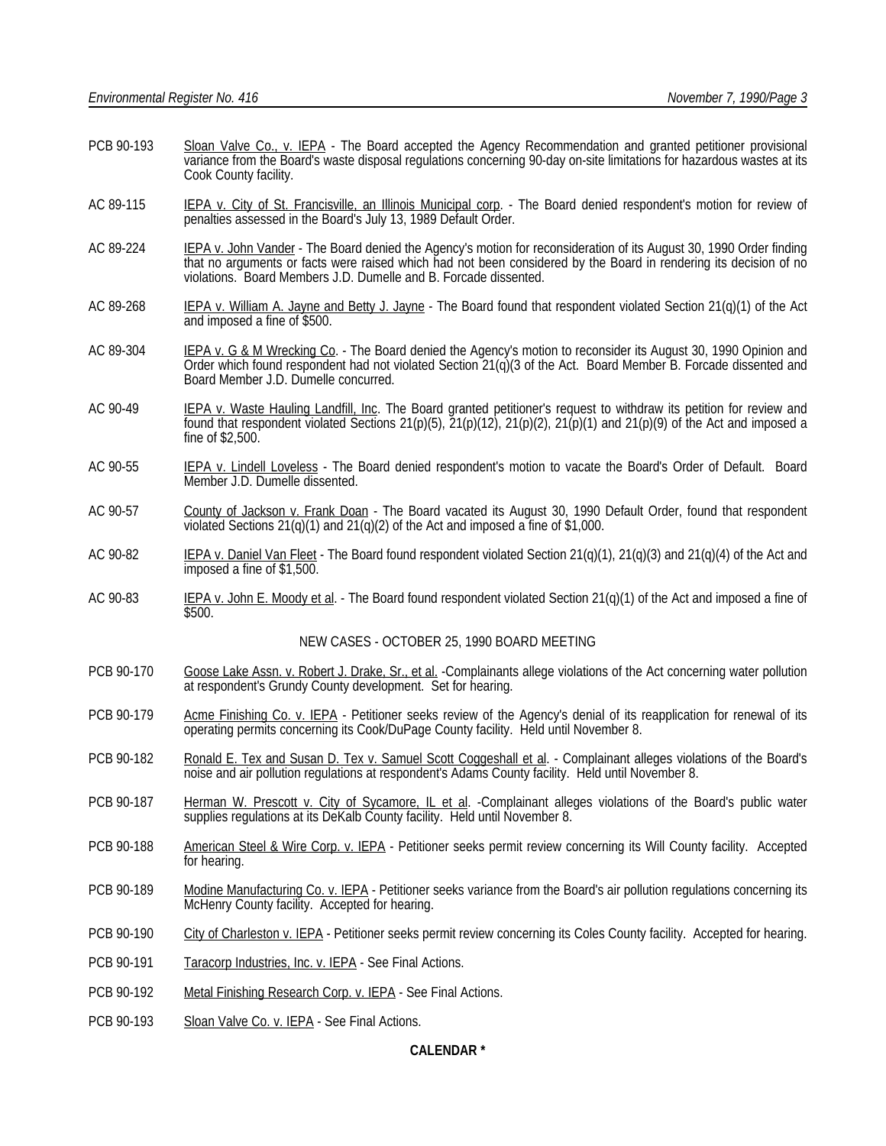- PCB 90-193 Sloan Valve Co., v. IEPA The Board accepted the Agency Recommendation and granted petitioner provisional variance from the Board's waste disposal regulations concerning 90-day on-site limitations for hazardous wastes at its Cook County facility.
- AC 89-115 IEPA v. City of St. Francisville, an Illinois Municipal corp. The Board denied respondent's motion for review of penalties assessed in the Board's July 13, 1989 Default Order.
- AC 89-224 IEPA v. John Vander The Board denied the Agency's motion for reconsideration of its August 30, 1990 Order finding that no arguments or facts were raised which had not been considered by the Board in rendering its decision of no violations. Board Members J.D. Dumelle and B. Forcade dissented.
- AC 89-268 IEPA v. William A. Jayne and Betty J. Jayne The Board found that respondent violated Section 21(q)(1) of the Act and imposed a fine of \$500.
- AC 89-304 IEPA v. G & M Wrecking Co. The Board denied the Agency's motion to reconsider its August 30, 1990 Opinion and Order which found respondent had not violated Section 21(q)(3 of the Act. Board Member B. Forcade dissented and Board Member J.D. Dumelle concurred.
- AC 90-49 IEPA v. Waste Hauling Landfill, Inc. The Board granted petitioner's request to withdraw its petition for review and found that respondent violated Sections  $21(p)(5)$ ,  $\overline{21(p)(12)}$ ,  $21(p)(2)$ ,  $21(p)(1)$  and  $21(p)(9)$  of the Act and imposed a fine of \$2,500.
- AC 90-55 IEPA v. Lindell Loveless The Board denied respondent's motion to vacate the Board's Order of Default. Board Member J.D. Dumelle dissented.
- AC 90-57 County of Jackson v. Frank Doan The Board vacated its August 30, 1990 Default Order, found that respondent violated Sections  $21(q)(1)$  and  $21(q)(2)$  of the Act and imposed a fine of \$1,000.
- AC 90-82 IEPA v. Daniel Van Fleet The Board found respondent violated Section 21(q)(1), 21(q)(3) and 21(q)(4) of the Act and imposed a fine of \$1,500.
- AC 90-83 IEPA v. John E. Moody et al. The Board found respondent violated Section 21(q)(1) of the Act and imposed a fine of \$500.

#### NEW CASES - OCTOBER 25, 1990 BOARD MEETING

- PCB 90-170 Goose Lake Assn. v. Robert J. Drake, Sr., et al. -Complainants allege violations of the Act concerning water pollution at respondent's Grundy County development. Set for hearing.
- PCB 90-179 Acme Finishing Co. v. IEPA Petitioner seeks review of the Agency's denial of its reapplication for renewal of its operating permits concerning its Cook/DuPage County facility. Held until November 8.
- PCB 90-182 Ronald E. Tex and Susan D. Tex v. Samuel Scott Coggeshall et al. Complainant alleges violations of the Board's noise and air pollution regulations at respondent's Adams County facility. Held until November 8.
- PCB 90-187 Herman W. Prescott v. City of Sycamore, IL et al. -Complainant alleges violations of the Board's public water supplies regulations at its DeKalb County facility. Held until November 8.
- PCB 90-188 American Steel & Wire Corp. v. IEPA Petitioner seeks permit review concerning its Will County facility. Accepted for hearing.
- PCB 90-189 Modine Manufacturing Co. v. IEPA Petitioner seeks variance from the Board's air pollution regulations concerning its McHenry County facility. Accepted for hearing.
- PCB 90-190 City of Charleston v. IEPA Petitioner seeks permit review concerning its Coles County facility. Accepted for hearing.
- PCB 90-191 Taracorp Industries, Inc. v. IEPA See Final Actions.
- PCB 90-192 Metal Finishing Research Corp. v. IEPA See Final Actions.
- PCB 90-193 Sloan Valve Co. v. IEPA See Final Actions.

# **CALENDAR \***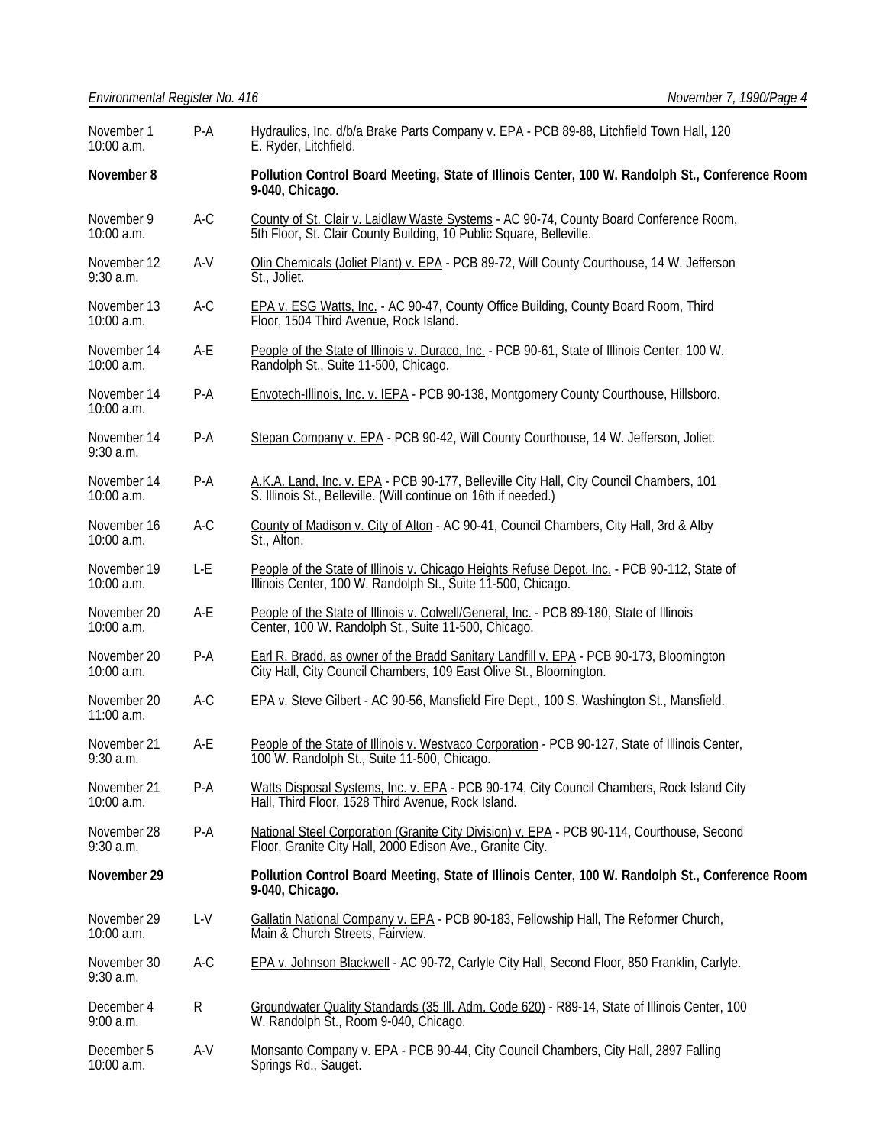| November 1<br>10:00 a.m.   | $P-A$ | Hydraulics, Inc. d/b/a Brake Parts Company v. EPA - PCB 89-88, Litchfield Town Hall, 120<br>E. Ryder, Litchfield.                                             |  |  |
|----------------------------|-------|---------------------------------------------------------------------------------------------------------------------------------------------------------------|--|--|
| November 8                 |       | Pollution Control Board Meeting, State of Illinois Center, 100 W. Randolph St., Conference Room<br>9-040, Chicago.                                            |  |  |
| November 9<br>10:00 a.m.   | A-C   | County of St. Clair v. Laidlaw Waste Systems - AC 90-74, County Board Conference Room,<br>5th Floor, St. Clair County Building, 10 Public Square, Belleville. |  |  |
| November 12<br>$9:30$ a.m. | A-V   | Olin Chemicals (Joliet Plant) v. EPA - PCB 89-72, Will County Courthouse, 14 W. Jefferson<br>St., Joliet.                                                     |  |  |
| November 13<br>10:00 a.m.  | $A-C$ | <b>EPA v. ESG Watts, Inc. - AC 90-47, County Office Building, County Board Room, Third</b><br>Floor, 1504 Third Avenue, Rock Island.                          |  |  |
| November 14<br>10:00 a.m.  | A-E   | People of the State of Illinois v. Duraco, Inc. - PCB 90-61, State of Illinois Center, 100 W.<br>Randolph St., Suite 11-500, Chicago.                         |  |  |
| November 14<br>10:00 a.m.  | P-A   | Envotech-Illinois, Inc. v. IEPA - PCB 90-138, Montgomery County Courthouse, Hillsboro.                                                                        |  |  |
| November 14<br>$9:30$ a.m. | $P-A$ | Stepan Company v. EPA - PCB 90-42, Will County Courthouse, 14 W. Jefferson, Joliet.                                                                           |  |  |
| November 14<br>10:00 a.m.  | $P-A$ | A.K.A. Land, Inc. v. EPA - PCB 90-177, Belleville City Hall, City Council Chambers, 101<br>S. Illinois St., Belleville. (Will continue on 16th if needed.)    |  |  |
| November 16<br>10:00 a.m.  | $A-C$ | County of Madison v. City of Alton - AC 90-41, Council Chambers, City Hall, 3rd & Alby<br>St., Alton.                                                         |  |  |
| November 19<br>10:00 a.m.  | L-E   | People of the State of Illinois v. Chicago Heights Refuse Depot, Inc. - PCB 90-112, State of<br>Illinois Center, 100 W. Randolph St., Šuite 11-500, Chicago.  |  |  |
| November 20<br>10:00 a.m.  | A-E   | People of the State of Illinois v. Colwell/General, Inc. - PCB 89-180, State of Illinois<br>Center, 100 W. Randolph St., Suite 11-500, Chicago.               |  |  |
| November 20<br>10:00 a.m.  | $P-A$ | Earl R. Bradd, as owner of the Bradd Sanitary Landfill v. EPA - PCB 90-173, Bloomington<br>City Hall, City Council Chambers, 109 East Olive St., Bloomington. |  |  |
| November 20<br>11:00 a.m.  | $A-C$ | EPA v. Steve Gilbert - AC 90-56, Mansfield Fire Dept., 100 S. Washington St., Mansfield.                                                                      |  |  |
| November 21<br>$9:30$ a.m. | A-E   | People of the State of Illinois v. Westvaco Corporation - PCB 90-127, State of Illinois Center,<br>100 W. Randolph St., Suite 11-500, Chicago.                |  |  |
| November 21<br>10:00 a.m.  | $P-A$ | Watts Disposal Systems, Inc. v. EPA - PCB 90-174, City Council Chambers, Rock Island City<br>Hall, Third Floor, 1528 Third Avenue, Rock Island.               |  |  |
| November 28<br>$9:30$ a.m. | $P-A$ | National Steel Corporation (Granite City Division) v. EPA - PCB 90-114, Courthouse, Second<br>Floor, Granite City Hall, 2000 Edison Ave., Granite City.       |  |  |
| November 29                |       | Pollution Control Board Meeting, State of Illinois Center, 100 W. Randolph St., Conference Room<br>9-040, Chicago.                                            |  |  |
| November 29<br>10:00 a.m.  | L-V   | Gallatin National Company v. EPA - PCB 90-183, Fellowship Hall, The Reformer Church,<br>Main & Church Streets, Fairview.                                      |  |  |
| November 30<br>$9:30$ a.m. | $A-C$ | EPA v. Johnson Blackwell - AC 90-72, Carlyle City Hall, Second Floor, 850 Franklin, Carlyle.                                                                  |  |  |
| December 4<br>9:00 a.m.    | R     | Groundwater Quality Standards (35 III. Adm. Code 620) - R89-14, State of Illinois Center, 100<br>W. Randolph St., Room 9-040, Chicago.                        |  |  |
| December 5<br>10:00 a.m.   | A-V   | Monsanto Company v. EPA - PCB 90-44, City Council Chambers, City Hall, 2897 Falling<br>Springs Rd., Sauget.                                                   |  |  |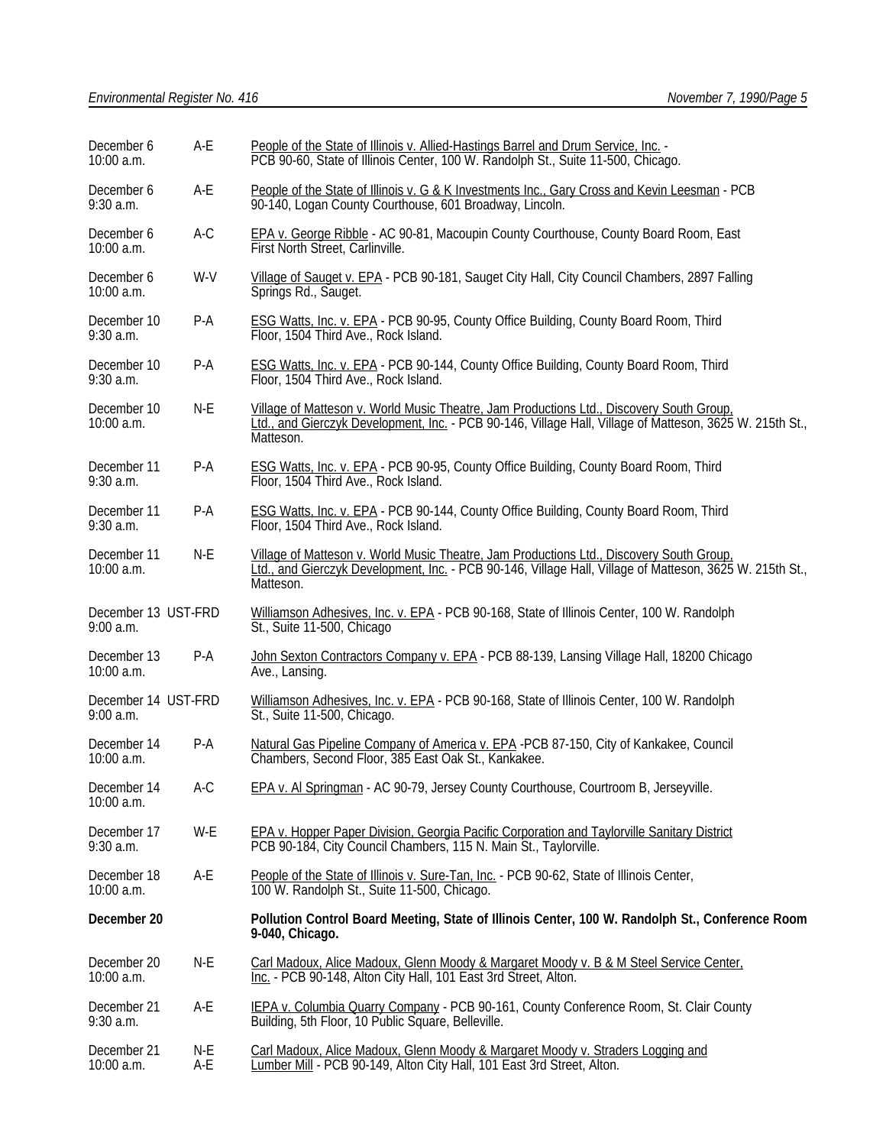| December 6<br>10:00 a.m.         | A-E        | People of the State of Illinois v. Allied-Hastings Barrel and Drum Service, Inc. -<br>PCB 90-60, State of Illinois Center, 100 W. Randolph St., Suite 11-500, Chicago.                                            |  |
|----------------------------------|------------|-------------------------------------------------------------------------------------------------------------------------------------------------------------------------------------------------------------------|--|
| December 6<br>$9:30$ a.m.        | A-E        | People of the State of Illinois v. G & K Investments Inc., Gary Cross and Kevin Leesman - PCB<br>90-140, Logan County Courthouse, 601 Broadway, Lincoln.                                                          |  |
| December 6<br>10:00 a.m.         | $A-C$      | EPA v. George Ribble - AC 90-81, Macoupin County Courthouse, County Board Room, East<br>First North Street, Carlinville.                                                                                          |  |
| December 6<br>$10:00$ a.m.       | W-V        | Village of Sauget v. EPA - PCB 90-181, Sauget City Hall, City Council Chambers, 2897 Falling<br>Springs Rd., Sauget.                                                                                              |  |
| December 10<br>$9:30$ a.m.       | $P-A$      | <b>ESG Watts, Inc. v. EPA - PCB 90-95, County Office Building, County Board Room, Third</b><br>Floor, 1504 Third Ave., Rock Island.                                                                               |  |
| December 10<br>$9:30$ a.m.       | $P-A$      | ESG Watts, Inc. v. EPA - PCB 90-144, County Office Building, County Board Room, Third<br>Floor, 1504 Third Ave., Rock Island.                                                                                     |  |
| December 10<br>10:00 a.m.        | N-E        | Village of Matteson v. World Music Theatre, Jam Productions Ltd., Discovery South Group,<br>Ltd., and Gierczyk Development, Inc. - PCB 90-146, Village Hall, Village of Matteson, 3625 W. 215th St.,<br>Matteson. |  |
| December 11<br>9:30 a.m.         | $P-A$      | ESG Watts, Inc. v. EPA - PCB 90-95, County Office Building, County Board Room, Third<br>Floor, 1504 Third Ave., Rock Island.                                                                                      |  |
| December 11<br>9:30 a.m.         | $P-A$      | <b>ESG Watts, Inc. v. EPA - PCB 90-144, County Office Building, County Board Room, Third</b><br>Floor, 1504 Third Ave., Rock Island.                                                                              |  |
| December 11<br>10:00 a.m.        | N-E        | Village of Matteson v. World Music Theatre, Jam Productions Ltd., Discovery South Group,<br>Ltd., and Gierczyk Development, Inc. - PCB 90-146, Village Hall, Village of Matteson, 3625 W. 215th St.,<br>Matteson. |  |
| December 13 UST-FRD<br>9:00 a.m. |            | Williamson Adhesives, Inc. v. EPA - PCB 90-168, State of Illinois Center, 100 W. Randolph<br>St., Suite 11-500, Chicago                                                                                           |  |
| December 13<br>10:00 a.m.        | $P-A$      | John Sexton Contractors Company v. EPA - PCB 88-139, Lansing Village Hall, 18200 Chicago<br>Ave., Lansing.                                                                                                        |  |
| December 14 UST-FRD<br>9:00 a.m. |            | Williamson Adhesives, Inc. v. EPA - PCB 90-168, State of Illinois Center, 100 W. Randolph<br>St., Suite 11-500, Chicago.                                                                                          |  |
| December 14<br>10:00 a.m.        | $P-A$      | Natural Gas Pipeline Company of America v. EPA -PCB 87-150, City of Kankakee, Council<br>Chambers, Second Floor, 385 East Oak St., Kankakee.                                                                      |  |
| December 14<br>10:00 a.m.        | $A-C$      | EPA v. Al Springman - AC 90-79, Jersey County Courthouse, Courtroom B, Jerseyville.                                                                                                                               |  |
| December 17<br>9:30 a.m.         | W-E        | EPA v. Hopper Paper Division, Georgia Pacific Corporation and Taylorville Sanitary District<br>PCB 90-184, City Council Chambers, 115 N. Main St., Taylorville.                                                   |  |
| December 18<br>10:00 a.m.        | A-E        | People of the State of Illinois v. Sure-Tan, Inc. - PCB 90-62, State of Illinois Center,<br>100 W. Randolph St., Suite 11-500, Chicago.                                                                           |  |
| December 20                      |            | Pollution Control Board Meeting, State of Illinois Center, 100 W. Randolph St., Conference Room<br>9-040, Chicago.                                                                                                |  |
| December 20<br>10:00 a.m.        | N-E        | Carl Madoux, Alice Madoux, Glenn Moody & Margaret Moody v. B & M Steel Service Center,<br>Inc. - PCB 90-148, Alton City Hall, 101 East 3rd Street, Alton.                                                         |  |
| December 21<br>$9:30$ a.m.       | A-E        | IEPA v. Columbia Quarry Company - PCB 90-161, County Conference Room, St. Clair County<br>Building, 5th Floor, 10 Public Square, Belleville.                                                                      |  |
| December 21<br>10:00 a.m.        | N-E<br>A-E | Carl Madoux, Alice Madoux, Glenn Moody & Margaret Moody v. Straders Logging and<br>Lumber Mill - PCB 90-149, Alton City Hall, 101 East 3rd Street, Alton.                                                         |  |